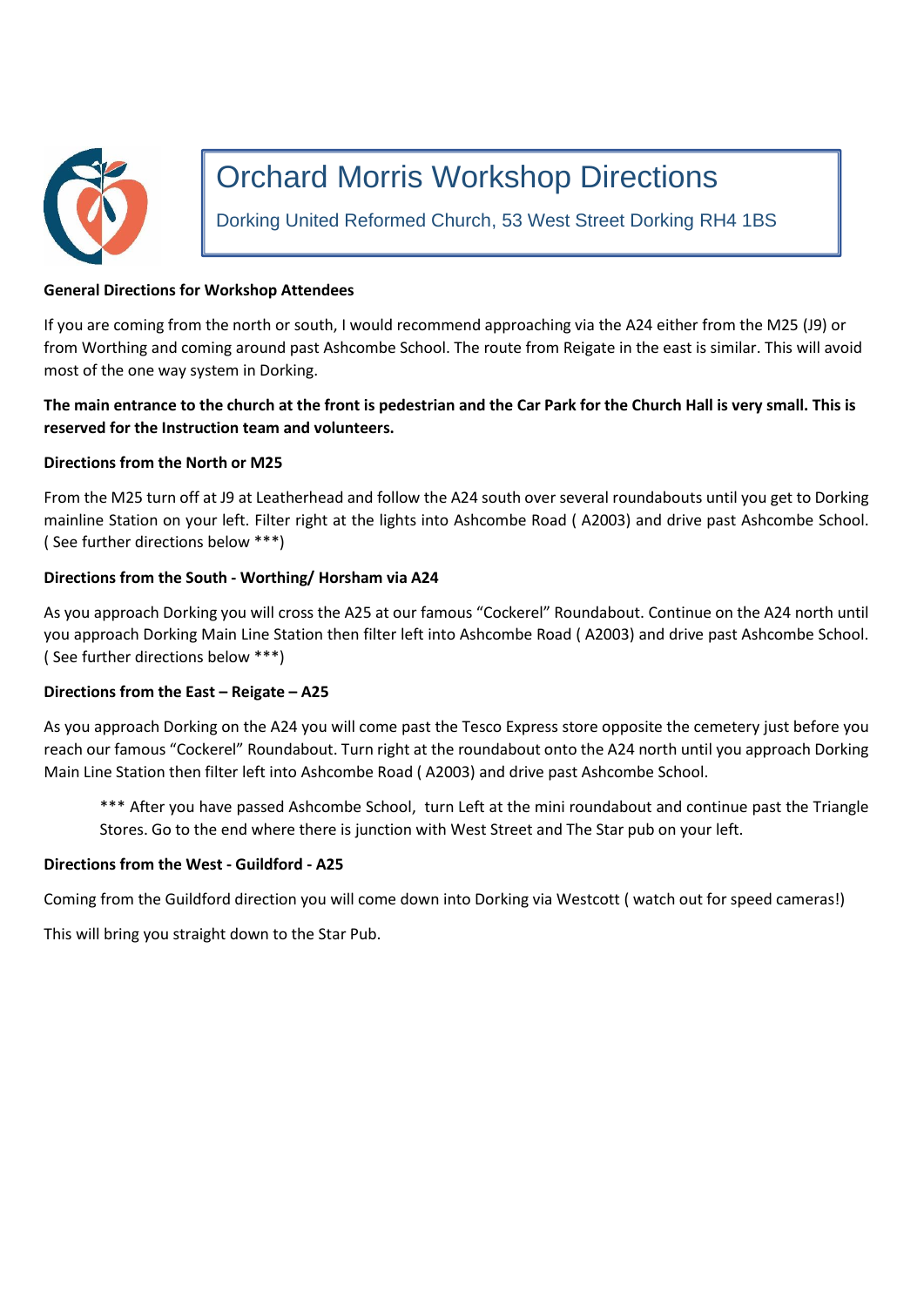

# Orchard Morris Workshop Directions

Dorking United Reformed Church, 53 West Street Dorking RH4 1BS

#### **General Directions for Workshop Attendees**

If you are coming from the north or south, I would recommend approaching via the A24 either from the M25 (J9) or from Worthing and coming around past Ashcombe School. The route from Reigate in the east is similar. This will avoid most of the one way system in Dorking.

# **The main entrance to the church at the front is pedestrian and the Car Park for the Church Hall is very small. This is reserved for the Instruction team and volunteers.**

## **Directions from the North or M25**

From the M25 turn off at J9 at Leatherhead and follow the A24 south over several roundabouts until you get to Dorking mainline Station on your left. Filter right at the lights into Ashcombe Road ( A2003) and drive past Ashcombe School. ( See further directions below \*\*\*)

## **Directions from the South - Worthing/ Horsham via A24**

As you approach Dorking you will cross the A25 at our famous "Cockerel" Roundabout. Continue on the A24 north until you approach Dorking Main Line Station then filter left into Ashcombe Road ( A2003) and drive past Ashcombe School. ( See further directions below \*\*\*)

# **Directions from the East – Reigate – A25**

As you approach Dorking on the A24 you will come past the Tesco Express store opposite the cemetery just before you reach our famous "Cockerel" Roundabout. Turn right at the roundabout onto the A24 north until you approach Dorking Main Line Station then filter left into Ashcombe Road ( A2003) and drive past Ashcombe School.

\*\*\* After you have passed Ashcombe School, turn Left at the mini roundabout and continue past the Triangle Stores. Go to the end where there is junction with West Street and The Star pub on your left.

#### **Directions from the West - Guildford - A25**

Coming from the Guildford direction you will come down into Dorking via Westcott ( watch out for speed cameras!)

This will bring you straight down to the Star Pub.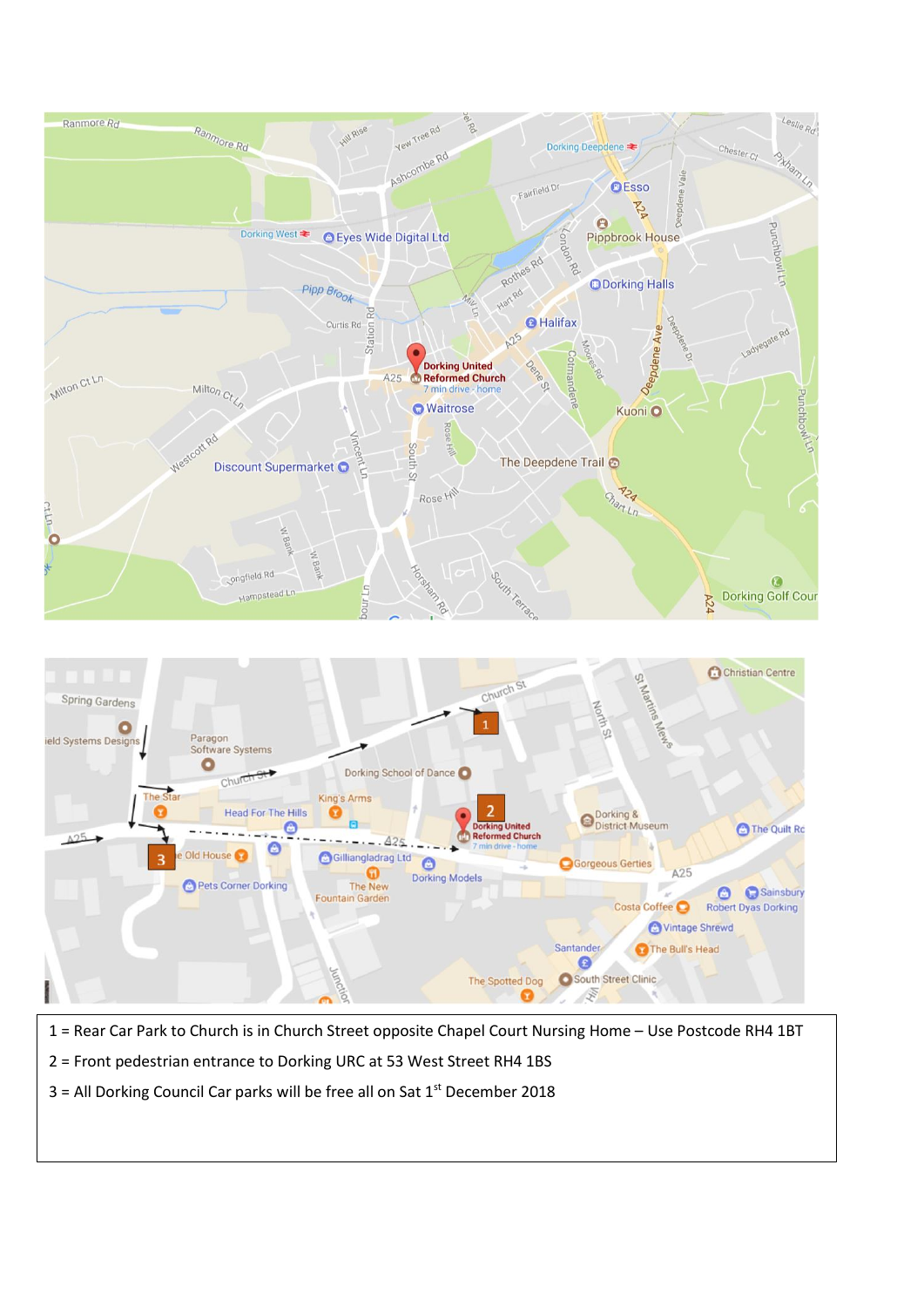



- 1 = Rear Car Park to Church is in Church Street opposite Chapel Court Nursing Home Use Postcode RH4 1BT
- 2 = Front pedestrian entrance to Dorking URC at 53 West Street RH4 1BS
- $3$  = All Dorking Council Car parks will be free all on Sat  $1<sup>st</sup>$  December 2018